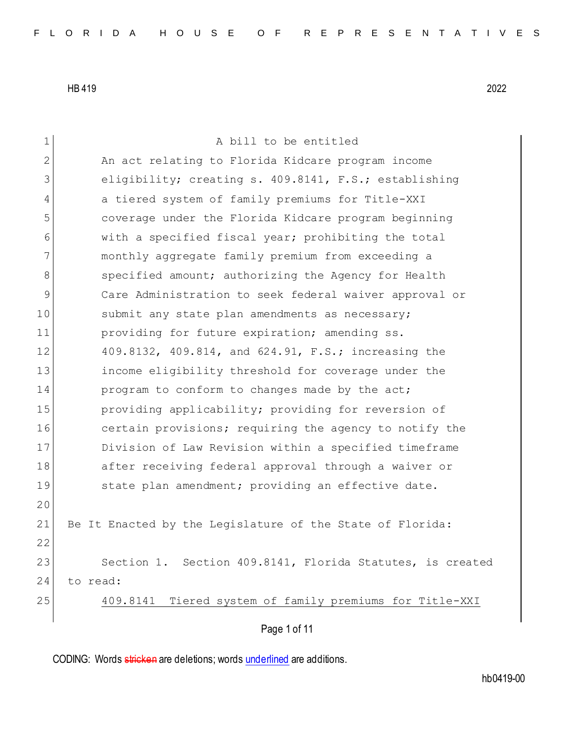| 1  | A bill to be entitled                                      |
|----|------------------------------------------------------------|
| 2  | An act relating to Florida Kidcare program income          |
| 3  | eligibility; creating s. 409.8141, F.S.; establishing      |
| 4  | a tiered system of family premiums for Title-XXI           |
| 5  | coverage under the Florida Kidcare program beginning       |
| 6  | with a specified fiscal year; prohibiting the total        |
| 7  | monthly aggregate family premium from exceeding a          |
| 8  | specified amount; authorizing the Agency for Health        |
| 9  | Care Administration to seek federal waiver approval or     |
| 10 | submit any state plan amendments as necessary;             |
| 11 | providing for future expiration; amending ss.              |
| 12 | 409.8132, 409.814, and 624.91, F.S.; increasing the        |
| 13 | income eligibility threshold for coverage under the        |
| 14 | program to conform to changes made by the act;             |
| 15 | providing applicability; providing for reversion of        |
| 16 | certain provisions; requiring the agency to notify the     |
| 17 | Division of Law Revision within a specified timeframe      |
| 18 | after receiving federal approval through a waiver or       |
| 19 | state plan amendment; providing an effective date.         |
| 20 |                                                            |
| 21 | Be It Enacted by the Legislature of the State of Florida:  |
| 22 |                                                            |
| 23 | Section 1. Section 409.8141, Florida Statutes, is created  |
| 24 | to read:                                                   |
| 25 | Tiered system of family premiums for Title-XXI<br>409.8141 |
|    | Page 1 of 11                                               |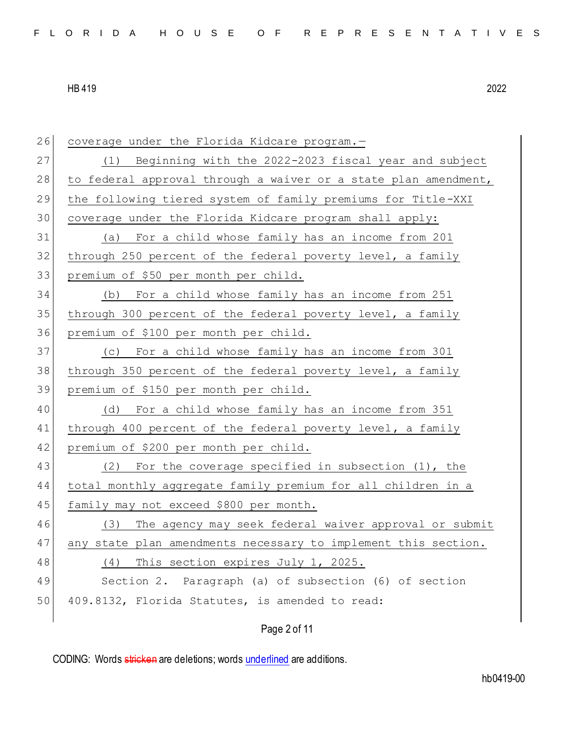| 26 | coverage under the Florida Kidcare program.-                    |
|----|-----------------------------------------------------------------|
| 27 | Beginning with the 2022-2023 fiscal year and subject<br>(1)     |
| 28 | to federal approval through a waiver or a state plan amendment, |
| 29 | the following tiered system of family premiums for Title-XXI    |
| 30 | coverage under the Florida Kidcare program shall apply:         |
| 31 | (a) For a child whose family has an income from 201             |
| 32 | through 250 percent of the federal poverty level, a family      |
| 33 | premium of \$50 per month per child.                            |
| 34 | For a child whose family has an income from 251<br>(b)          |
| 35 | through 300 percent of the federal poverty level, a family      |
| 36 | premium of \$100 per month per child.                           |
| 37 | For a child whose family has an income from 301<br>(C)          |
| 38 | through 350 percent of the federal poverty level, a family      |
| 39 | premium of \$150 per month per child.                           |
| 40 | For a child whose family has an income from 351<br>(d)          |
| 41 | through 400 percent of the federal poverty level, a family      |
| 42 | premium of \$200 per month per child.                           |
| 43 | For the coverage specified in subsection $(1)$ , the<br>(2)     |
| 44 | total monthly aggregate family premium for all children in a    |
| 45 | family may not exceed \$800 per month.                          |
| 46 | The agency may seek federal waiver approval or submit<br>(3)    |
| 47 | any state plan amendments necessary to implement this section.  |
| 48 | This section expires July 1, 2025.<br>(4)                       |
| 49 | Section 2. Paragraph (a) of subsection (6) of section           |
| 50 | 409.8132, Florida Statutes, is amended to read:                 |
|    |                                                                 |

# Page 2 of 11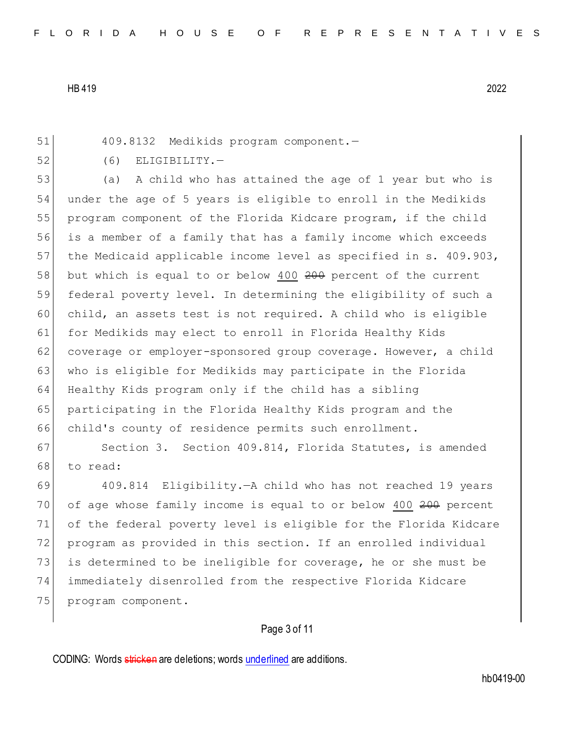51 409.8132 Medikids program component.—

52 (6) ELIGIBILITY.

53 (a) A child who has attained the age of 1 year but who is 54 under the age of 5 years is eligible to enroll in the Medikids 55 program component of the Florida Kidcare program, if the child 56 is a member of a family that has a family income which exceeds 57 the Medicaid applicable income level as specified in s. 409.903, 58 but which is equal to or below 400 200 percent of the current 59 federal poverty level. In determining the eligibility of such a 60 child, an assets test is not required. A child who is eligible 61 for Medikids may elect to enroll in Florida Healthy Kids 62 coverage or employer-sponsored group coverage. However, a child 63 who is eligible for Medikids may participate in the Florida 64 Healthy Kids program only if the child has a sibling 65 participating in the Florida Healthy Kids program and the 66 child's county of residence permits such enrollment.

67 Section 3. Section 409.814, Florida Statutes, is amended 68 to read:

69 409.814 Eligibility.—A child who has not reached 19 years 70 of age whose family income is equal to or below 400 200 percent 71 of the federal poverty level is eligible for the Florida Kidcare 72 program as provided in this section. If an enrolled individual 73 is determined to be ineligible for coverage, he or she must be 74 immediately disenrolled from the respective Florida Kidcare 75 program component.

## Page 3 of 11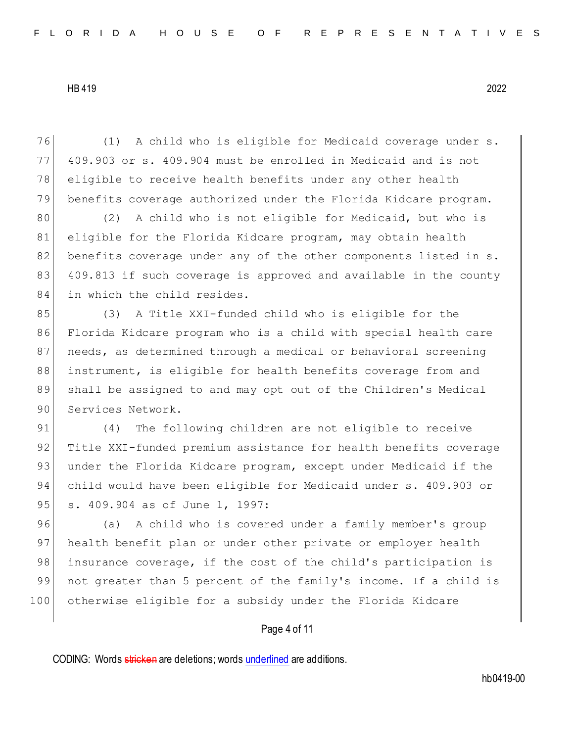(1) A child who is eligible for Medicaid coverage under s. 409.903 or s. 409.904 must be enrolled in Medicaid and is not 78 eligible to receive health benefits under any other health benefits coverage authorized under the Florida Kidcare program.

80 (2) A child who is not eligible for Medicaid, but who is 81 eligible for the Florida Kidcare program, may obtain health 82 benefits coverage under any of the other components listed in s. 83 409.813 if such coverage is approved and available in the county 84 in which the child resides.

85 (3) A Title XXI-funded child who is eligible for the 86 Florida Kidcare program who is a child with special health care 87 needs, as determined through a medical or behavioral screening 88 instrument, is eligible for health benefits coverage from and 89 shall be assigned to and may opt out of the Children's Medical 90 Services Network.

91 (4) The following children are not eligible to receive 92 Title XXI-funded premium assistance for health benefits coverage 93 under the Florida Kidcare program, except under Medicaid if the 94 child would have been eligible for Medicaid under s. 409.903 or 95 s. 409.904 as of June 1, 1997:

96 (a) A child who is covered under a family member's group 97 health benefit plan or under other private or employer health 98 insurance coverage, if the cost of the child's participation is 99 not greater than 5 percent of the family's income. If a child is 100 otherwise eligible for a subsidy under the Florida Kidcare

## Page 4 of 11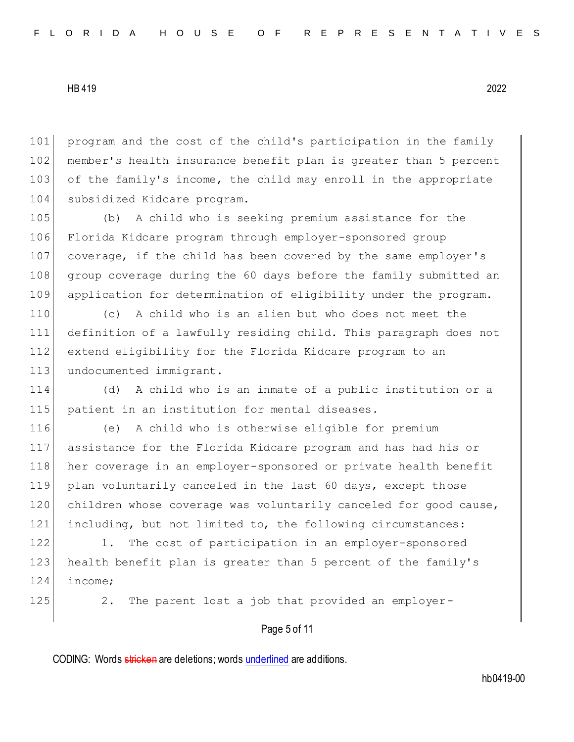101 program and the cost of the child's participation in the family 102 member's health insurance benefit plan is greater than 5 percent 103 of the family's income, the child may enroll in the appropriate 104 subsidized Kidcare program.

 (b) A child who is seeking premium assistance for the Florida Kidcare program through employer-sponsored group coverage, if the child has been covered by the same employer's group coverage during the 60 days before the family submitted an application for determination of eligibility under the program.

 (c) A child who is an alien but who does not meet the definition of a lawfully residing child. This paragraph does not extend eligibility for the Florida Kidcare program to an 113 undocumented immigrant.

114 (d) A child who is an inmate of a public institution or a 115 patient in an institution for mental diseases.

 (e) A child who is otherwise eligible for premium assistance for the Florida Kidcare program and has had his or her coverage in an employer-sponsored or private health benefit plan voluntarily canceled in the last 60 days, except those 120 children whose coverage was voluntarily canceled for good cause, including, but not limited to, the following circumstances:

122 1. The cost of participation in an employer-sponsored 123 health benefit plan is greater than 5 percent of the family's 124 income;

125 2. The parent lost a job that provided an employer-

## Page 5 of 11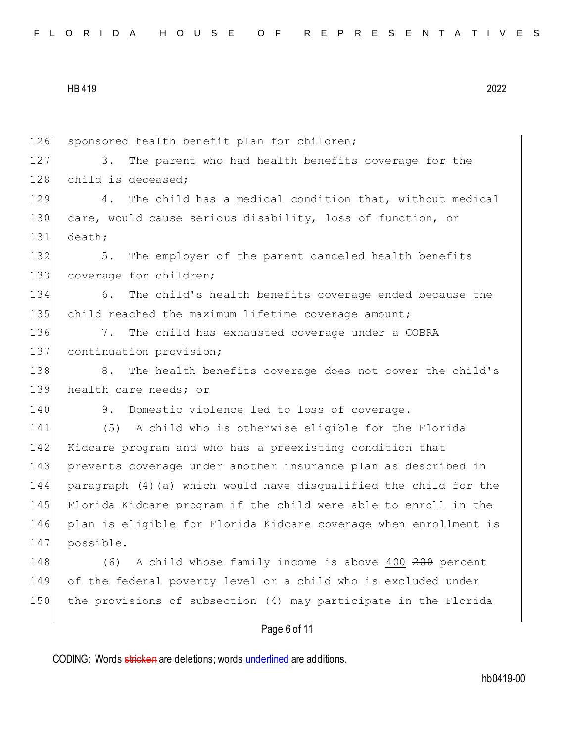|  |  |  |  |  |  | FLORIDA HOUSE OF REPRESENTATIVES |  |  |  |  |  |  |  |  |
|--|--|--|--|--|--|----------------------------------|--|--|--|--|--|--|--|--|
|  |  |  |  |  |  |                                  |  |  |  |  |  |  |  |  |

| 126 | sponsored health benefit plan for children;                       |
|-----|-------------------------------------------------------------------|
| 127 | The parent who had health benefits coverage for the<br>3.         |
| 128 | child is deceased;                                                |
| 129 | The child has a medical condition that, without medical<br>4.     |
| 130 | care, would cause serious disability, loss of function, or        |
| 131 | death;                                                            |
| 132 | The employer of the parent canceled health benefits<br>5.         |
| 133 | coverage for children;                                            |
| 134 | The child's health benefits coverage ended because the<br>6.      |
| 135 | child reached the maximum lifetime coverage amount;               |
| 136 | The child has exhausted coverage under a COBRA<br>7.              |
| 137 | continuation provision;                                           |
| 138 | The health benefits coverage does not cover the child's<br>8.     |
| 139 | health care needs; or                                             |
| 140 | Domestic violence led to loss of coverage.<br>9.                  |
| 141 | A child who is otherwise eligible for the Florida<br>(5)          |
| 142 | Kidcare program and who has a preexisting condition that          |
| 143 | prevents coverage under another insurance plan as described in    |
| 144 | paragraph (4) (a) which would have disqualified the child for the |
| 145 | Florida Kidcare program if the child were able to enroll in the   |
| 146 | plan is eligible for Florida Kidcare coverage when enrollment is  |
| 147 | possible.                                                         |
| 148 | A child whose family income is above 400 200 percent<br>(6)       |
| 149 | of the federal poverty level or a child who is excluded under     |
| 150 | the provisions of subsection (4) may participate in the Florida   |
|     | Page 6 of 11                                                      |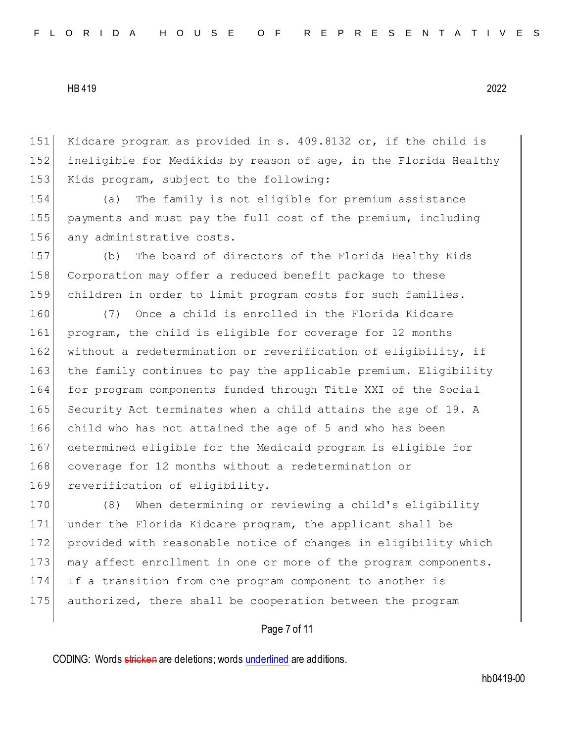151 Kidcare program as provided in s. 409.8132 or, if the child is 152 ineligible for Medikids by reason of age, in the Florida Healthy 153 Kids program, subject to the following:

154 (a) The family is not eligible for premium assistance 155 payments and must pay the full cost of the premium, including 156 any administrative costs.

157 (b) The board of directors of the Florida Healthy Kids 158 Corporation may offer a reduced benefit package to these 159 children in order to limit program costs for such families.

160 (7) Once a child is enrolled in the Florida Kidcare 161 program, the child is eligible for coverage for 12 months 162 without a redetermination or reverification of eligibility, if 163 the family continues to pay the applicable premium. Eligibility 164 for program components funded through Title XXI of the Social 165 Security Act terminates when a child attains the age of 19. A 166 child who has not attained the age of 5 and who has been 167 determined eligible for the Medicaid program is eligible for 168 coverage for 12 months without a redetermination or 169 reverification of eligibility.

170 (8) When determining or reviewing a child's eligibility 171 under the Florida Kidcare program, the applicant shall be 172 provided with reasonable notice of changes in eligibility which 173 may affect enrollment in one or more of the program components. 174 If a transition from one program component to another is 175 authorized, there shall be cooperation between the program

## Page 7 of 11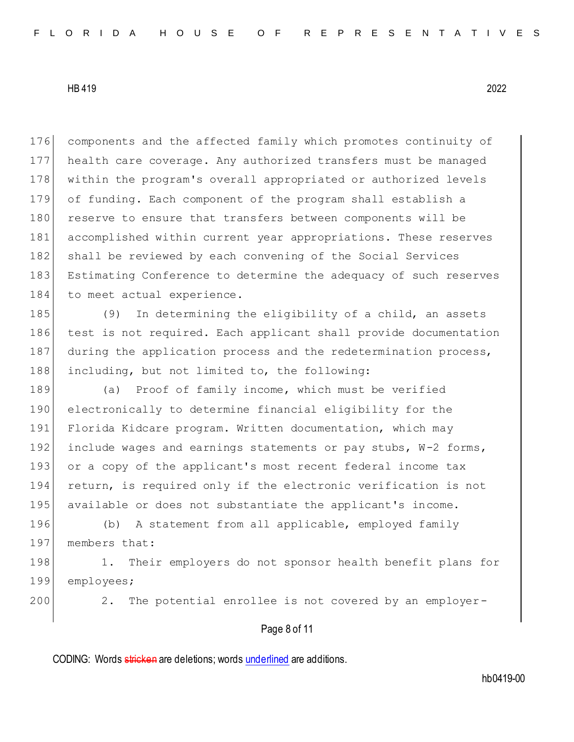176 components and the affected family which promotes continuity of 177 health care coverage. Any authorized transfers must be managed 178 within the program's overall appropriated or authorized levels 179 of funding. Each component of the program shall establish a 180 reserve to ensure that transfers between components will be 181 accomplished within current year appropriations. These reserves 182 shall be reviewed by each convening of the Social Services 183 Estimating Conference to determine the adequacy of such reserves 184 to meet actual experience.

185 (9) In determining the eligibility of a child, an assets 186 test is not required. Each applicant shall provide documentation 187 during the application process and the redetermination process, 188 including, but not limited to, the following:

189 (a) Proof of family income, which must be verified 190 electronically to determine financial eligibility for the 191 Florida Kidcare program. Written documentation, which may 192 include wages and earnings statements or pay stubs,  $W-2$  forms, 193 or a copy of the applicant's most recent federal income tax 194 return, is required only if the electronic verification is not 195 available or does not substantiate the applicant's income.

196 (b) A statement from all applicable, employed family 197 members that:

198 1. Their employers do not sponsor health benefit plans for 199 employees;

200 2. The potential enrollee is not covered by an employer-

## Page 8 of 11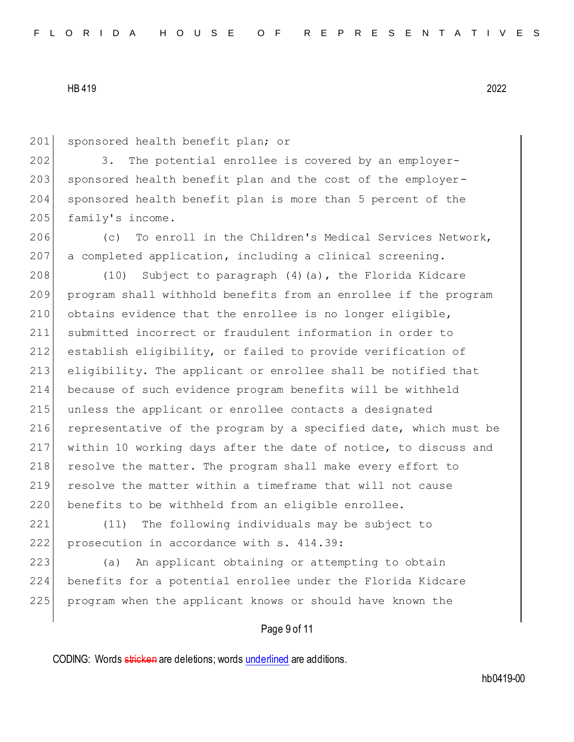201 sponsored health benefit plan; or

202 3. The potential enrollee is covered by an employer-203 sponsored health benefit plan and the cost of the employer-204 sponsored health benefit plan is more than 5 percent of the 205 family's income.

206 (c) To enroll in the Children's Medical Services Network,  $207$  a completed application, including a clinical screening.

 (10) Subject to paragraph (4)(a), the Florida Kidcare program shall withhold benefits from an enrollee if the program 210 obtains evidence that the enrollee is no longer eligible, submitted incorrect or fraudulent information in order to 212 establish eligibility, or failed to provide verification of eligibility. The applicant or enrollee shall be notified that because of such evidence program benefits will be withheld unless the applicant or enrollee contacts a designated 216 representative of the program by a specified date, which must be within 10 working days after the date of notice, to discuss and 218 resolve the matter. The program shall make every effort to resolve the matter within a timeframe that will not cause 220 benefits to be withheld from an eligible enrollee.

221 (11) The following individuals may be subject to 222 prosecution in accordance with s. 414.39:

223 (a) An applicant obtaining or attempting to obtain 224 benefits for a potential enrollee under the Florida Kidcare 225 program when the applicant knows or should have known the

## Page 9 of 11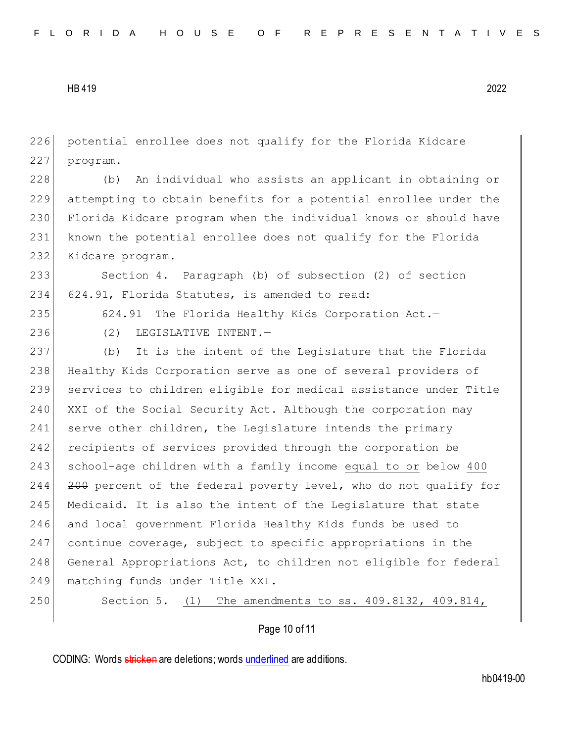226 potential enrollee does not qualify for the Florida Kidcare 227 program.

 (b) An individual who assists an applicant in obtaining or attempting to obtain benefits for a potential enrollee under the Florida Kidcare program when the individual knows or should have known the potential enrollee does not qualify for the Florida Kidcare program.

233 Section 4. Paragraph (b) of subsection (2) of section 234 624.91, Florida Statutes, is amended to read:

235 624.91 The Florida Healthy Kids Corporation Act.-

236 (2) LEGISLATIVE INTENT.

237 (b) It is the intent of the Legislature that the Florida 238 Healthy Kids Corporation serve as one of several providers of 239 services to children eligible for medical assistance under Title 240 XXI of the Social Security Act. Although the corporation may 241 serve other children, the Legislature intends the primary 242 recipients of services provided through the corporation be 243 school-age children with a family income equal to or below 400 244 <del>200</del> percent of the federal poverty level, who do not qualify for 245 Medicaid. It is also the intent of the Legislature that state 246 and local government Florida Healthy Kids funds be used to 247 continue coverage, subject to specific appropriations in the 248 General Appropriations Act, to children not eligible for federal 249 matching funds under Title XXI.

250 Section 5. (1) The amendments to ss. 409.8132, 409.814,

Page 10 of 11